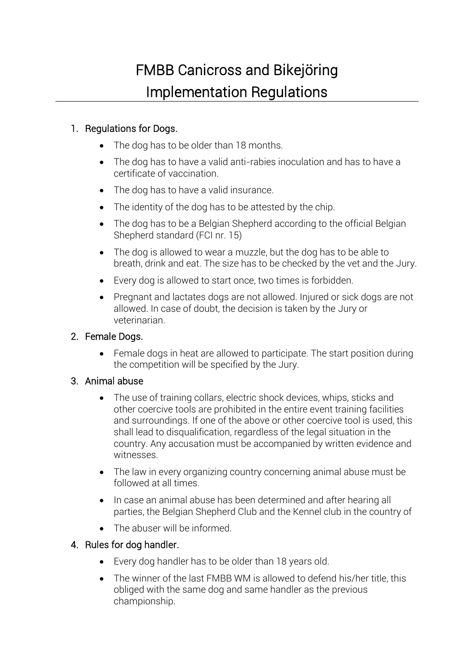# FMBB Canicross and Bikejöring Implementation Regulations

## 1. Regulations for Dogs.

- The dog has to be older than 18 months.
- The dog has to have a valid anti-rabies inoculation and has to have a certificate of vaccination.
- The dog has to have a valid insurance.
- The identity of the dog has to be attested by the chip.
- The dog has to be a Belgian Shepherd according to the official Belgian Shepherd standard (FCI nr. 15)
- The dog is allowed to wear a muzzle, but the dog has to be able to breath, drink and eat. The size has to be checked by the vet and the Jury.
- Every dog is allowed to start once, two times is forbidden.
- Pregnant and lactates dogs are not allowed. Injured or sick dogs are not allowed. In case of doubt, the decision is taken by the Jury or veterinarian.

## 2. Female Dogs.

• Female dogs in heat are allowed to participate. The start position during the competition will be specified by the Jury.

## 3. Animal abuse

- The use of training collars, electric shock devices, whips, sticks and other coercive tools are prohibited in the entire event training facilities and surroundings. If one of the above or other coercive tool is used, this shall lead to disqualification, regardless of the legal situation in the country. Any accusation must be accompanied by written evidence and witnesses.
- The law in every organizing country concerning animal abuse must be followed at all times.
- In case an animal abuse has been determined and after hearing all parties, the Belgian Shepherd Club and the Kennel club in the country of
- The abuser will be informed.

## 4. Rules for dog handler.

- Every dog handler has to be older than 18 years old.
- The winner of the last FMBB WM is allowed to defend his/her title, this obliged with the same dog and same handler as the previous championship.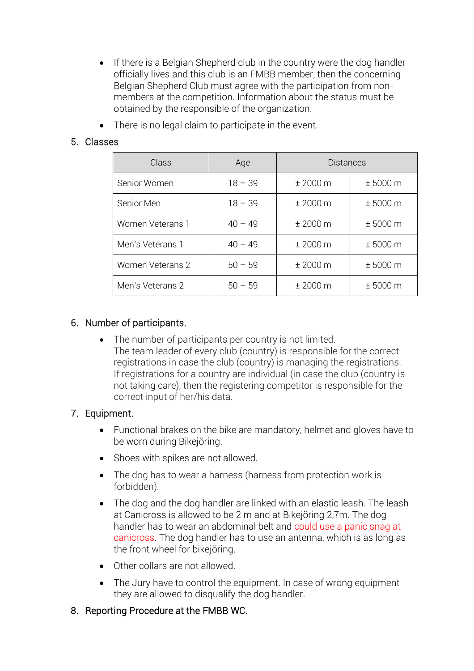- If there is a Belgian Shepherd club in the country were the dog handler officially lives and this club is an FMBB member, then the concerning Belgian Shepherd Club must agree with the participation from nonmembers at the competition. Information about the status must be obtained by the responsible of the organization.
- There is no legal claim to participate in the event.

## 5. Classes

| Class                   | Age       | <b>Distances</b> |          |
|-------------------------|-----------|------------------|----------|
| Senior Women            | $18 - 39$ | ± 2000 m         | ± 5000 m |
| Senior Men              | $18 - 39$ | ± 2000 m         | ± 5000 m |
| Women Veterans 1        | $40 - 49$ | ± 2000 m         | ± 5000 m |
| Men's Veterans 1        | $40 - 49$ | ± 2000 m         | ± 5000 m |
| <b>Women Veterans 2</b> | $50 - 59$ | ± 2000 m         | ± 5000 m |
| Men's Veterans 2        | $50 - 59$ | ± 2000 m         | ± 5000 m |

## 6. Number of participants.

• The number of participants per country is not limited. The team leader of every club (country) is responsible for the correct registrations in case the club (country) is managing the registrations. If registrations for a country are individual (in case the club (country is not taking care), then the registering competitor is responsible for the correct input of her/his data.

## 7. Equipment.

- Functional brakes on the bike are mandatory, helmet and gloves have to be worn during Bikejöring.
- Shoes with spikes are not allowed.
- The dog has to wear a harness (harness from protection work is forbidden).
- The dog and the dog handler are linked with an elastic leash. The leash at Canicross is allowed to be 2 m and at Bikejöring 2,7m. The dog handler has to wear an abdominal belt and could use a panic snag at canicross. The dog handler has to use an antenna, which is as long as the front wheel for bikejöring.
- Other collars are not allowed.
- The Jury have to control the equipment. In case of wrong equipment they are allowed to disqualify the dog handler.

## 8. Reporting Procedure at the FMBB WC.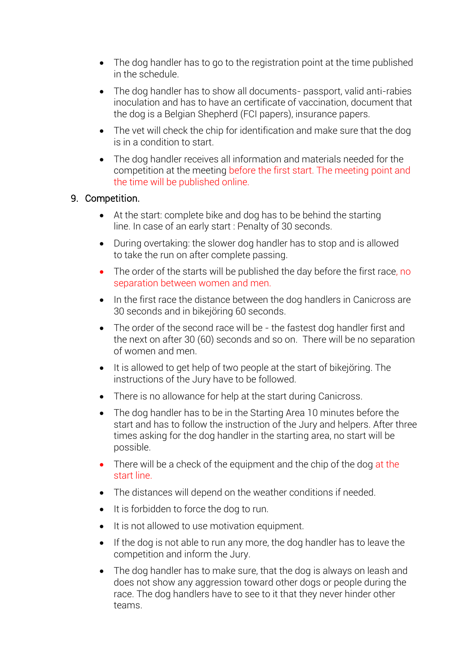- The dog handler has to go to the registration point at the time published in the schedule.
- The dog handler has to show all documents- passport, valid anti-rabies inoculation and has to have an certificate of vaccination, document that the dog is a Belgian Shepherd (FCI papers), insurance papers.
- The vet will check the chip for identification and make sure that the dog is in a condition to start.
- The dog handler receives all information and materials needed for the competition at the meeting before the first start. The meeting point and the time will be published online.

## 9. Competition.

- At the start: complete bike and dog has to be behind the starting line. In case of an early start : Penalty of 30 seconds.
- During overtaking: the slower dog handler has to stop and is allowed to take the run on after complete passing.
- The order of the starts will be published the day before the first race, no separation between women and men.
- In the first race the distance between the dog handlers in Canicross are 30 seconds and in bikejöring 60 seconds.
- The order of the second race will be the fastest dog handler first and the next on after 30 (60) seconds and so on. There will be no separation of women and men.
- It is allowed to get help of two people at the start of bikejöring. The instructions of the Jury have to be followed.
- There is no allowance for help at the start during Canicross.
- The dog handler has to be in the Starting Area 10 minutes before the start and has to follow the instruction of the Jury and helpers. After three times asking for the dog handler in the starting area, no start will be possible.
- There will be a check of the equipment and the chip of the dog at the start line.
- The distances will depend on the weather conditions if needed.
- It is forbidden to force the dog to run.
- It is not allowed to use motivation equipment.
- If the dog is not able to run any more, the dog handler has to leave the competition and inform the Jury.
- The dog handler has to make sure, that the dog is always on leash and does not show any aggression toward other dogs or people during the race. The dog handlers have to see to it that they never hinder other teams.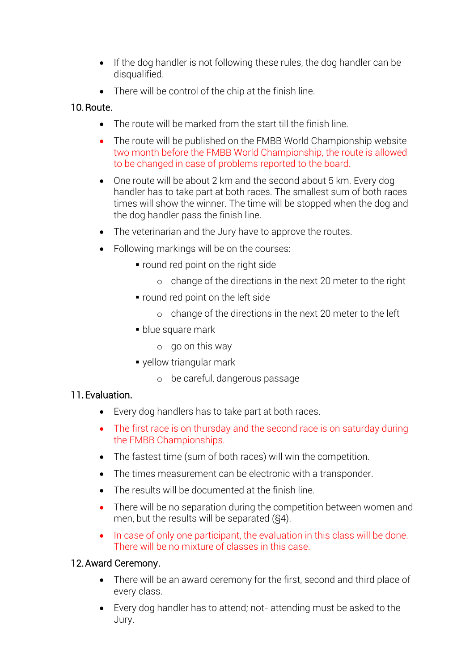- If the dog handler is not following these rules, the dog handler can be disqualified.
- There will be control of the chip at the finish line.

## 10.Route.

- The route will be marked from the start till the finish line.
- The route will be published on the FMBB World Championship website two month before the FMBB World Championship, the route is allowed to be changed in case of problems reported to the board.
- One route will be about 2 km and the second about 5 km. Every dog handler has to take part at both races. The smallest sum of both races times will show the winner. The time will be stopped when the dog and the dog handler pass the finish line.
- The veterinarian and the Jury have to approve the routes.
- Following markings will be on the courses:
	- round red point on the right side
		- o change of the directions in the next 20 meter to the right
	- round red point on the left side
		- o change of the directions in the next 20 meter to the left
	- blue square mark
		- o go on this way
	- yellow triangular mark
		- o be careful, dangerous passage

# 11.Evaluation.

- Every dog handlers has to take part at both races.
- The first race is on thursday and the second race is on saturday during the FMBB Championships.
- The fastest time (sum of both races) will win the competition.
- The times measurement can be electronic with a transponder.
- The results will be documented at the finish line.
- There will be no separation during the competition between women and men, but the results will be separated (§4).
- In case of only one participant, the evaluation in this class will be done. There will be no mixture of classes in this case.

# 12.Award Ceremony.

- There will be an award ceremony for the first, second and third place of every class.
- Every dog handler has to attend*;* not- attending must be asked to the Jury.